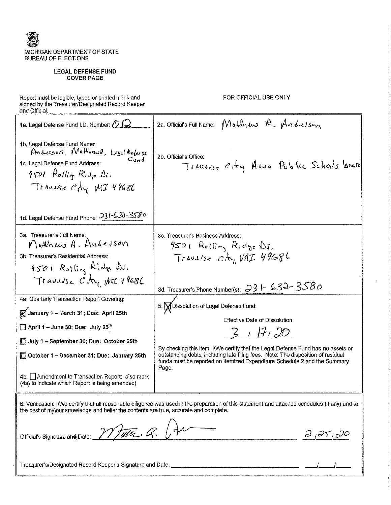

### **LEGAL DEFENSE FUND COVER PAGE**

Report must be legible, typed or printed in ink and<br>signed by the Treasurer/Designated Record Keeper<br>and Official.

FOR OFFICIAL USE ONLY

| 1a. Legal Defense Fund I.D. Number: 012                                                                                                                                                                      | Matthew R. Anderson<br>2a. Official's Full Name:                                                                                                                                                                                                           |
|--------------------------------------------------------------------------------------------------------------------------------------------------------------------------------------------------------------|------------------------------------------------------------------------------------------------------------------------------------------------------------------------------------------------------------------------------------------------------------|
| 1b. Legal Defense Fund Name:<br>Anderson, Matthewa, Legel Actorse<br>Fund<br>1c. Legal Defense Fund Address:<br>9501 Rollin Ridge Dr.<br>Travuse City MI 49686<br>1d. Legal Defense Fund Phone: 231-630-3586 | 2b. Official's Office:<br>Traverse City Avea Public Schools board                                                                                                                                                                                          |
|                                                                                                                                                                                                              |                                                                                                                                                                                                                                                            |
| 3a. Treasurer's Full Name:<br>Muthew A. Anderson<br>3b. Treasurer's Residential Address:<br>9501 Rolling Aldre Du.                                                                                           | 3c. Treasurer's Business Address:<br>$950$ l Rolling Ridge Ds.<br>Travelse Cty MI 49686                                                                                                                                                                    |
| Travelse City MI49686                                                                                                                                                                                        | 3d. Treasurer's Phone Number(s): $33 - 632 - 3580$                                                                                                                                                                                                         |
| 4a. Quarterly Transaction Report Covering:                                                                                                                                                                   | 5. M Dissolution of Legal Defense Fund:                                                                                                                                                                                                                    |
| <b>M</b> January 1 - March 31; Due: April 25th                                                                                                                                                               | <b>Effective Date of Dissolution</b>                                                                                                                                                                                                                       |
| $\Box$ April 1 – June 30; Due: July 25 <sup>th</sup>                                                                                                                                                         | 3/7/7/20                                                                                                                                                                                                                                                   |
| July 1 - September 30; Due: October 25th                                                                                                                                                                     |                                                                                                                                                                                                                                                            |
| October 1 - December 31; Due: January 25th<br>П                                                                                                                                                              | By checking this item, IWVe certify that the Legal Defense Fund has no assets or<br>outstanding debts, including late filing fees. Note: The disposition of residual<br>funds must be reported on Itemized Expenditure Schedule 2 and the Summary<br>Page. |
| 4b.   Amendment to Transaction Report: also mark<br>(4a) to indicate which Report is being amended)                                                                                                          |                                                                                                                                                                                                                                                            |
| the best of my our knowledge and belief the contents are true, accurate and complete.                                                                                                                        | 6. Verification: IWe certify that all reasonable diligence was used in the preparation of this statement and attached schedules (if any) and to                                                                                                            |
|                                                                                                                                                                                                              | Official's Signature and Date: 11 Julie R. A<br>$d_{1}35_{1}00$                                                                                                                                                                                            |
|                                                                                                                                                                                                              |                                                                                                                                                                                                                                                            |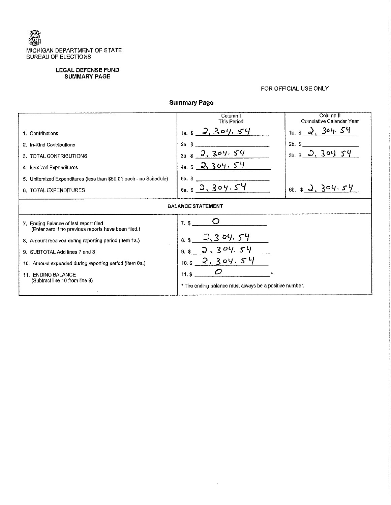

## **LEGAL DEFENSE FUND** SUMMARY PAGE

## FOR OFFICIAL USE ONLY

**Summary Page** 

|                                                                                                | Column I<br>This Period                                | Column II<br>Cumulative Calendar Year |  |  |  |  |
|------------------------------------------------------------------------------------------------|--------------------------------------------------------|---------------------------------------|--|--|--|--|
| 1. Contributions                                                                               | 2, 304, 54<br>$1a.$ \$                                 | 304.54<br>$1b$ \$                     |  |  |  |  |
| 2. In-Kind Contributions                                                                       | 2a.<br>S                                               | $2b$ .<br>-8                          |  |  |  |  |
| 3. TOTAL CONTRIBUTIONS                                                                         | 2, 304.54<br>$3a.$ \$                                  | 3.304.54<br>$3b$ .                    |  |  |  |  |
| 4. Itemized Expenditures                                                                       | 4a. $$2, 304.54$                                       |                                       |  |  |  |  |
| 5. Unitemized Expenditures (less than \$50.01 each - no Schedule)                              | 5a. \$                                                 |                                       |  |  |  |  |
| 6. TOTAL EXPENDITURES                                                                          | 6a.82.304.54                                           | 6b. $$2, 304.54$                      |  |  |  |  |
|                                                                                                | <b>BALANCE STATEMENT</b>                               |                                       |  |  |  |  |
| 7. Ending Balance of last report filed<br>(Enter zero if no previous reports have been filed.) | $7.$ \$                                                |                                       |  |  |  |  |
| 8. Amount received during reporting period (Item 1a.)                                          | $2,3$ 04, 54<br>8.3                                    |                                       |  |  |  |  |
| 9. SUBTOTAL Add lines 7 and 8                                                                  | 304.54<br>9.5                                          |                                       |  |  |  |  |
| 10. Amount expended during reporting period (Item 6a.)                                         | 2,304.54<br>10: \$                                     |                                       |  |  |  |  |
| <b>11. ENDING BALANCE</b>                                                                      | 11.5                                                   |                                       |  |  |  |  |
| (Subtract line 10 from line 9)                                                                 | * The ending balance must always be a positive number. |                                       |  |  |  |  |
|                                                                                                |                                                        |                                       |  |  |  |  |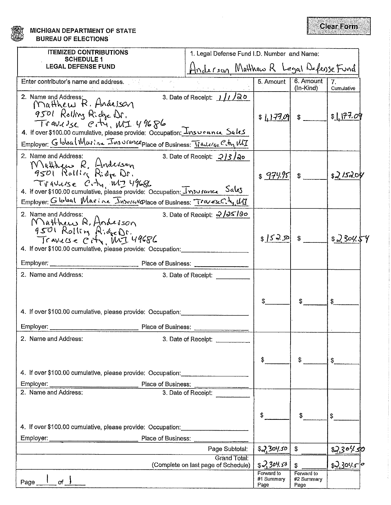**MICHIGAN DEPARTMENT OF STATE BUREAU OF ELECTIONS** 

| <b>ITEMIZED CONTRIBUTIONS</b><br><b>SCHEDULE 1</b>                                                                                                                                                                                                  | 1. Legal Defense Fund I.D. Number and Name:                |                                  |                                  |                              |
|-----------------------------------------------------------------------------------------------------------------------------------------------------------------------------------------------------------------------------------------------------|------------------------------------------------------------|----------------------------------|----------------------------------|------------------------------|
| <b>LEGAL DEFENSE FUND</b>                                                                                                                                                                                                                           | Hinderson Mutthew R Legal Defense Fund                     |                                  |                                  |                              |
| Territoria<br>Enter contributor's name and address.                                                                                                                                                                                                 |                                                            | 5. Amount                        | 6. Amount<br>$(ln-Kind)$         | 7.<br>Cumulative             |
| 2. Name and Address:<br>Matthew R. Andelson<br>9501 Rolling Riche Dr.<br>Travulse eity, MI 49686<br>4. If over \$100.00 cumulative, please provide: Occupation: <i>Insurance</i> Saks                                                               | 3. Date of Receipt: $1/1/20$                               | $$1.177.09$ $$$                  |                                  | \$177.09                     |
| Employer: Global Marina Insurance place of Business: Traucise Com, MI                                                                                                                                                                               |                                                            |                                  |                                  |                              |
| 2. Name and Address:<br>Matthew R. Hordcuson<br>9501 Rolling Ridge Dr.<br>Travuise C.ty, M7 49686<br>4. If over \$100.00 cumulative, please provide: Occupation: Insurance Sales<br>Employer: Global Marine Insural place of Business: Travesch, UT | 3. Date of Receipt: $2/3/20$                               | $$974.95$ $$$                    |                                  | \$2/152.0%                   |
| 2. Name and Address:                                                                                                                                                                                                                                | 3. Date of Receipt: 2/25/80                                |                                  |                                  |                              |
| Matthew R. Anderson<br>9501 Rolling Ridge Dr.<br>Traverse City, MJ 49686<br>4. If over \$100.00 cumulative, please provide: Occupation:                                                                                                             |                                                            | $$ S\rightarrow S2 $ \$          |                                  | $$2,30\%$                    |
| Employer:<br>Place of Business:                                                                                                                                                                                                                     |                                                            |                                  |                                  |                              |
| 2. Name and Address:<br>4. If over \$100.00 cumulative, please provide: Occupation:<br>Employer:<br>Place of Business:                                                                                                                              | 3. Date of Receipt:                                        |                                  |                                  |                              |
| 2. Name and Address:                                                                                                                                                                                                                                | 3. Date of Receipt: ________                               |                                  |                                  |                              |
| 4. If over \$100.00 cumulative, please provide: Occupation: _____________________<br>Place of Business:<br>Employer:                                                                                                                                |                                                            | \$                               | \$                               | \$                           |
| 2. Name and Address:                                                                                                                                                                                                                                | 3. Date of Receipt:                                        |                                  |                                  |                              |
| 4. If over \$100.00 cumulative, please provide: Occupation:<br>Employer:<br>Place of Business:                                                                                                                                                      |                                                            | \$                               | \$                               | \$                           |
|                                                                                                                                                                                                                                                     | Page Subtotal:                                             | 2304.50                          | \$                               |                              |
|                                                                                                                                                                                                                                                     | <b>Grand Total:</b><br>(Complete on last page of Schedule) | \$2,304.58                       | \$                               | $\frac{22.30\%50}{2.30\%50}$ |
| of $\rightarrow$<br>Page_                                                                                                                                                                                                                           |                                                            | Forward to<br>#1 Summary<br>Page | Forward to<br>#2 Summary<br>Page |                              |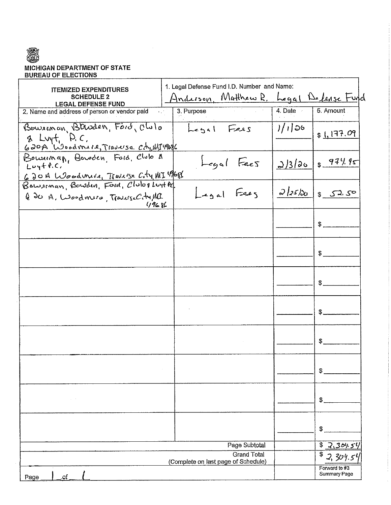# 窩 MICHIGAN DEPARTMENT OF STATE<br>BUREAU OF ELECTIONS

 $\mathcal{L}_{\mathcal{L}}$ 

| <b>ITEMIZED EXPENDITURES</b>                                                         | 1. Legal Defense Fund I.D. Number and Name:               |          |                               |
|--------------------------------------------------------------------------------------|-----------------------------------------------------------|----------|-------------------------------|
| <b>SCHEDULE 2</b>                                                                    | Anderson, Matthew R. Legal Defense Fund                   |          |                               |
| <b>LEGAL DEFENSE FUND</b><br>2. Name and address of person or vendor paid            | 3. Purpose                                                | 4. Date  | 5. Amount                     |
| Bowsoman, Barden, Förd, Olulo<br>& Luyt, P.C.<br>620A Woodmare, Traverse Ch, WITHOOL | Legal Fees                                                | $1/1$ 36 | \$1.177.09                    |
| Bourinan, Bowden, Foid, Club a<br>$Luy++C$ ,                                         | Legal Fees                                                |          | $2/3/26$ $\sqrt{974.95}$      |
| 620 A Woodward, Trave'se City MI 1968<br>Q 20 A. Woodmers, Travese City, MC<br>しくにとし | Legal Fees                                                | 2/25/20  | 852.50                        |
|                                                                                      |                                                           |          | \$                            |
|                                                                                      |                                                           |          | \$                            |
|                                                                                      |                                                           |          | \$                            |
|                                                                                      |                                                           |          | \$.                           |
|                                                                                      |                                                           |          |                               |
|                                                                                      |                                                           |          | \$                            |
| $\alpha = 0$                                                                         |                                                           |          | \$.                           |
|                                                                                      |                                                           |          | \$                            |
|                                                                                      | Page Subtotal                                             |          | \$<br>7.3045                  |
|                                                                                      | <b>Grand Total</b><br>(Complete on last page of Schedule) |          |                               |
| of.<br>Page                                                                          |                                                           |          | Forward to #3<br>Summary Page |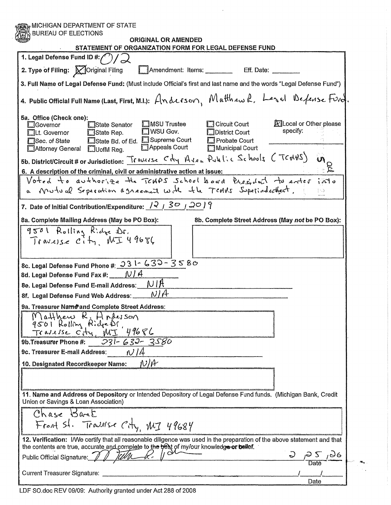| <b>ORIGINAL OR AMENDED</b><br>STATEMENT OF ORGANIZATION FORM FOR LEGAL DEFENSE FUND                                                                                                                                                                                                                                           |                                                  |
|-------------------------------------------------------------------------------------------------------------------------------------------------------------------------------------------------------------------------------------------------------------------------------------------------------------------------------|--------------------------------------------------|
| 1. Legal Defense Fund ID #: $(')'/$                                                                                                                                                                                                                                                                                           |                                                  |
| 2. Type of Filing: X Original Filing<br>Amendment: Items: __________ Eff. Date: _                                                                                                                                                                                                                                             |                                                  |
| 3. Full Name of Legal Defense Fund: (Must include Official's first and last name and the words "Legal Defense Fund")                                                                                                                                                                                                          |                                                  |
| 4. Public Official Full Name (Last, First, M.I.): Anderson, Matthew R. Lesal Defense Find.                                                                                                                                                                                                                                    |                                                  |
| 5a. Office (Check one):<br><b>C</b> MSU Trustee<br>Circuit Court<br>□Governor<br>□State Senator<br>$\Box$ WSU Gov.<br>□District Court<br><b>□State Rep.</b><br>$\Box$ Lt. Governor<br>□State Bd. of Ed. □ Supreme Court<br>Probate Court<br>Sec. of State<br>Appeals Court<br>Municipal Court<br>Attorney General CluofM Reg. | <b>X</b> Local or Other please<br>specify:       |
| 5b. District/Circuit # or Jurisdiction: Traverse Cty Avea Public Schools CTC+48)                                                                                                                                                                                                                                              | $\mathcal{V}_1$                                  |
| 6. A description of the criminal, civil or administrative action at issue:                                                                                                                                                                                                                                                    |                                                  |
| Voted to authorize the TCHPS School board President to enter<br>Mutual Seperation agreement with the TCANS Superintenthent.                                                                                                                                                                                                   | intc<br>$\langle \cdot, \rangle$                 |
| 7. Date of Initial Contribution/Expenditure: $\sqrt{2}$   $30$   $20$   $9$                                                                                                                                                                                                                                                   |                                                  |
| 8a. Complete Mailing Address (May be PO Box):                                                                                                                                                                                                                                                                                 | 8b. Complete Street Address (May not be PO Box): |
| 9501 Rolling Ridge Dr.<br>Travesse City MI49686                                                                                                                                                                                                                                                                               |                                                  |
| 8c. Legal Defense Fund Phone #: 031-630-3580                                                                                                                                                                                                                                                                                  |                                                  |
| 8d. Legal Defense Fund Fax #: $\sqrt{1/4}$                                                                                                                                                                                                                                                                                    |                                                  |
|                                                                                                                                                                                                                                                                                                                               |                                                  |
| 9a. Treasurer Name and Complete Street Address:                                                                                                                                                                                                                                                                               |                                                  |
| Matthew R. Anderson<br>9501 Rolling Ridge Dr.<br>Traverse Ctry, MJ 49686                                                                                                                                                                                                                                                      |                                                  |
| 9b. Treasurer Phone #: 231-632-3580                                                                                                                                                                                                                                                                                           |                                                  |
| 9c. Treasurer E-mail Address: $\mathcal{N}/\mathcal{A}$                                                                                                                                                                                                                                                                       |                                                  |
| N/H<br>10. Designated Recordkeeper Name:                                                                                                                                                                                                                                                                                      |                                                  |
|                                                                                                                                                                                                                                                                                                                               |                                                  |
|                                                                                                                                                                                                                                                                                                                               |                                                  |
| 11. Name and Address of Depository or Intended Depository of Legal Defense Fund funds. (Michigan Bank, Credit<br>Union or Savings & Loan Association)                                                                                                                                                                         |                                                  |
| Chase Bant<br>Front St. Travelse City, MI 49684                                                                                                                                                                                                                                                                               |                                                  |
| 12. Verification: I/We certify that all reasonable diligence was used in the preparation of the above statement and that                                                                                                                                                                                                      |                                                  |
| the contents are true, accurate and complete to the best of my/our knowledge or bellef.                                                                                                                                                                                                                                       |                                                  |
|                                                                                                                                                                                                                                                                                                                               |                                                  |
| Public Official Signature: 11                                                                                                                                                                                                                                                                                                 | $\frac{2}{\sqrt{2}}$ $\frac{5}{\sqrt{2}}$        |

Ť,

 $\sim$ 

LDF SO.doc REV 09/09: Authority granted under Act 288 of 2008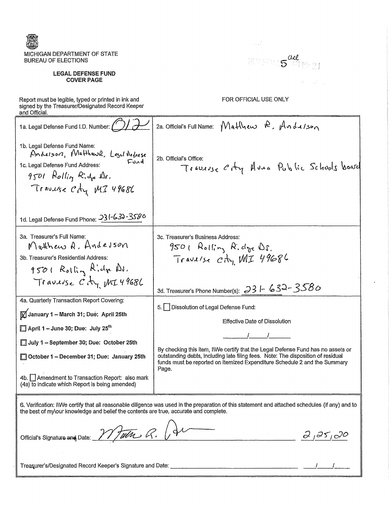

### **LEGAL DEFENSE FUND COVER PAGE**

 $\sim 1$ AMPERIS <sup>all</sup> 10-21  $\mathcal{A}(\mathcal{C})=\mathcal{A}(\mathcal{C})$  .

FOR OFFICIAL USE ONLY

Report must be legible, typed or printed in ink and<br>signed by the Treasurer/Designated Record Keeper and Official. ---------------

| 1a. Legal Defense Fund I.D. Number:                                                                                                                             | 2a. Official's Full Name: $M$ atthew $R$ , $An$ betson                                                                                                                                                                                                     |
|-----------------------------------------------------------------------------------------------------------------------------------------------------------------|------------------------------------------------------------------------------------------------------------------------------------------------------------------------------------------------------------------------------------------------------------|
| 1b. Legal Defense Fund Name:<br>Anderson, Matthewa, Legil Actorse<br>Fund<br>1c. Legal Defense Fund Address:<br>$9501$ Rollin Ridge Dr.<br>Travuse Cty MI 49686 | 2b. Official's Office:<br>Traverse City Avea Public Schools board                                                                                                                                                                                          |
| 1d. Legal Defense Fund Phone: 231-630-3586                                                                                                                      |                                                                                                                                                                                                                                                            |
| 3a. Treasurer's Full Name.<br>Matthew A. Andesson<br>3b. Treasurer's Residential Address:<br>$9501$ Rolling Ridge As.                                           | 3c. Treasurer's Business Address.<br>$950$ l Rolling Ridge Ds.<br>Travelse Cty MI 49686                                                                                                                                                                    |
| Travuse City MI49686                                                                                                                                            | 3d. Treasurer's Phone Number(s): $331 - 632 - 3580$                                                                                                                                                                                                        |
| 4a. Quarterly Transaction Report Covering:<br>January 1 - March 31; Due: April 25th<br>$\Box$ April 1 – June 30; Due: July 25 <sup>th</sup>                     | 5.     Dissolution of Legal Defense Fund:<br>Effective Date of Dissolution                                                                                                                                                                                 |
| July 1 - September 30; Due: October 25th<br>October 1 - December 31; Due: January 25th<br>4b. Amendment to Transaction Report: also mark                        | By checking this item, IWVe certify that the Legal Defense Fund has no assets or<br>outstanding debts, including late filing fees. Note: The disposition of residual<br>funds must be reported on Itemized Expenditure Schedule 2 and the Summary<br>Page. |
| (4a) to indicate which Report is being amended)                                                                                                                 |                                                                                                                                                                                                                                                            |
| the best of my\our knowledge and belief the contents are true, accurate and complete.                                                                           | 6. Verification: IWe certify that all reasonable diligence was used in the preparation of this statement and attached schedules (if any) and to                                                                                                            |
| Official's Signature and Date: 17/Tulla R.                                                                                                                      | 2,25,20                                                                                                                                                                                                                                                    |

Treasurer's/Designated Record Keeper's Signature and Date: [1982] [2002] [2003] [2003] [2003] [2003] [2003] [2003] [2003] [2003] [2003] [2003] [2003] [2003] [2003] [2003] [2003] [2003] [2003] [2003] [2003] [2003] [2003] [2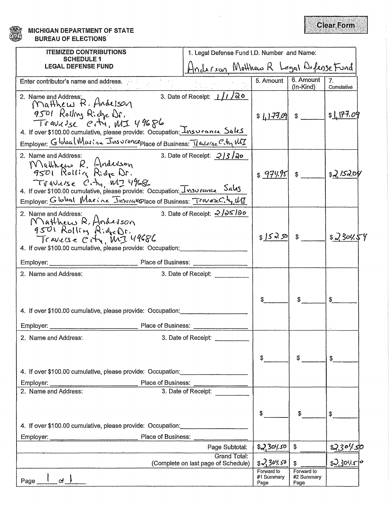**MICHIGAN DEPARTMENT OF STATE BUREAU OF ELECTIONS** 

| <b>ITEMIZED CONTRIBUTIONS</b><br>1. Legal Defense Fund I.D. Number and Name:                                                                                                                                                                                        |                                                                                                                                                                                                                                                                                                                                                                                                                           |                                  |                                  |                    |
|---------------------------------------------------------------------------------------------------------------------------------------------------------------------------------------------------------------------------------------------------------------------|---------------------------------------------------------------------------------------------------------------------------------------------------------------------------------------------------------------------------------------------------------------------------------------------------------------------------------------------------------------------------------------------------------------------------|----------------------------------|----------------------------------|--------------------|
| SCHEDULE 1<br><b>LEGAL DEFENSE FUND</b>                                                                                                                                                                                                                             | Hinderson Matthew R Legal Defense Fund                                                                                                                                                                                                                                                                                                                                                                                    |                                  |                                  |                    |
| $\mathcal{L} = \mathcal{L}_{\mathcal{L}}$ .<br>Enter contributor's name and address.                                                                                                                                                                                |                                                                                                                                                                                                                                                                                                                                                                                                                           | $5.$ Amount $\vert$              | 6. Amount<br>$($ ln-Kind $)$     | 7.<br>Cumulative   |
| 2. Name and Address:<br>$M$ atthew $R$ . Andelson<br>9501 Rolling Riche Dr.<br>Travulse etti, MI 49686<br>4. If over \$100.00 cumulative, please provide: Occupation: <i>Insurance</i> Saks<br>Employer: Global Musine Insurance place of Business: Tradese City MI | 3. Date of Receipt: $1/1/20$                                                                                                                                                                                                                                                                                                                                                                                              | $$177.09$ $$$                    |                                  | \$1177.09          |
| 2. Name and Address:                                                                                                                                                                                                                                                | 3. Date of Receipt: $\frac{2}{3}$ / $\frac{2}{9}$ o                                                                                                                                                                                                                                                                                                                                                                       |                                  |                                  |                    |
| Matthew R. Hoderson<br>9501 Rolling Ridge Dr.<br>TVAULISE CITY, MT 49686<br>4. If over \$100.00 cumulative, please provide: Occupation: Insurance Sales<br>Employer Global Marine Insural place of Business: Travelecty, UT                                         |                                                                                                                                                                                                                                                                                                                                                                                                                           | \$979.95                         | \$                               | 32/520             |
| 2. Name and Address:<br>Matthew R. Anderson<br>9501 Rolling AideDr.<br>Travese City, MJ 49686<br>4. If over \$100.00 cumulative, please provide: Occupation:                                                                                                        | 3. Date of Receipt: 2/25/80                                                                                                                                                                                                                                                                                                                                                                                               | \$ 52,50 \$                      |                                  | $$2,30\%$          |
| Place of Business:<br>Employer:                                                                                                                                                                                                                                     |                                                                                                                                                                                                                                                                                                                                                                                                                           |                                  |                                  |                    |
| 2. Name and Address:<br>4. If over \$100.00 cumulative, please provide: Occupation:<br>Place of Business:<br>Employer:                                                                                                                                              | 3. Date of Receipt:                                                                                                                                                                                                                                                                                                                                                                                                       |                                  |                                  | \$                 |
| 2. Name and Address:                                                                                                                                                                                                                                                | 3. Date of Receipt:                                                                                                                                                                                                                                                                                                                                                                                                       |                                  |                                  |                    |
| 4. If over \$100.00 cumulative, please provide: Occupation:<br>Place of Business:<br>Employer:                                                                                                                                                                      |                                                                                                                                                                                                                                                                                                                                                                                                                           | \$                               | \$                               | \$                 |
| 2. Name and Address:                                                                                                                                                                                                                                                | 3. Date of Receipt:                                                                                                                                                                                                                                                                                                                                                                                                       |                                  |                                  |                    |
| 4. If over \$100.00 cumulative, please provide: Occupation:<br>Place of Business:<br>Employer:                                                                                                                                                                      | $\begin{tabular}{cccccccccc} \multicolumn{2}{c}{\textbf{1} & \textbf{2} & \textbf{3} & \textbf{4} & \textbf{5} & \textbf{6} & \textbf{7} & \textbf{8} & \textbf{9} & \textbf{10} & \textbf{10} & \textbf{10} & \textbf{10} & \textbf{10} & \textbf{10} & \textbf{10} & \textbf{10} & \textbf{10} & \textbf{10} & \textbf{10} & \textbf{10} & \textbf{10} & \textbf{10} & \textbf{10} & \textbf{10} & \textbf{10} & \text$ | \$                               | \$                               | \$                 |
|                                                                                                                                                                                                                                                                     | Page Subtotal:                                                                                                                                                                                                                                                                                                                                                                                                            | 230,50                           | \$                               | <u>\$2,30% sto</u> |
|                                                                                                                                                                                                                                                                     | <b>Grand Total:</b><br>(Complete on last page of Schedule)                                                                                                                                                                                                                                                                                                                                                                | \$2304.50                        | \$                               | $s$ 2.30450        |
| or <u>J</u><br>Page                                                                                                                                                                                                                                                 |                                                                                                                                                                                                                                                                                                                                                                                                                           | Forward to<br>#1 Summary<br>Page | Forward to<br>#2 Summary<br>Page |                    |